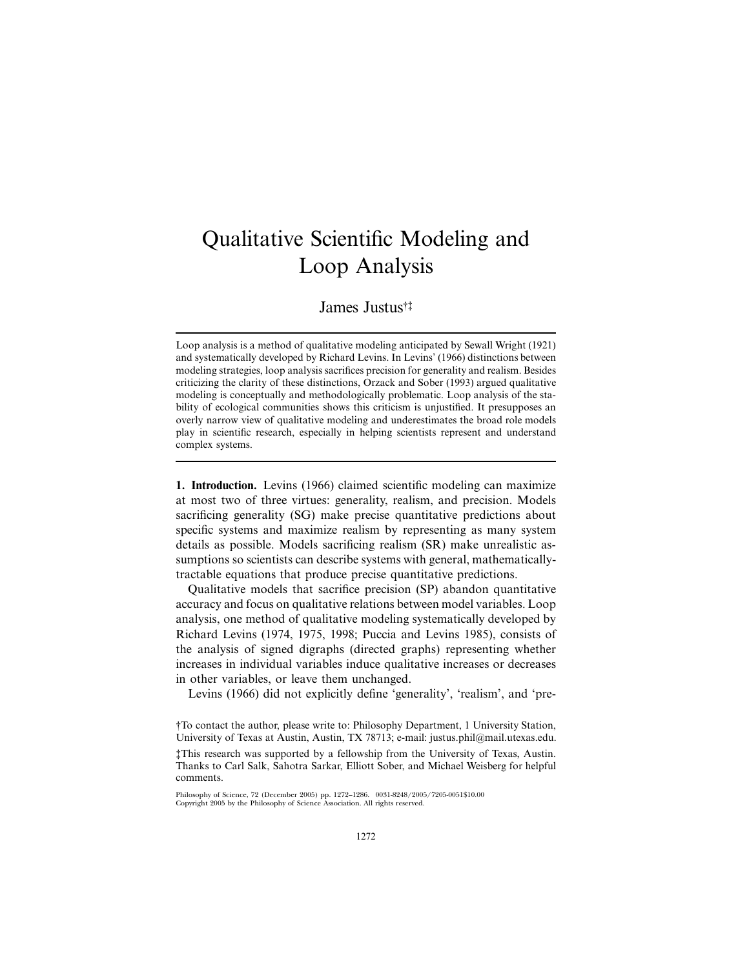# Qualitative Scientific Modeling and Loop Analysis

James Justus†‡

Loop analysis is a method of qualitative modeling anticipated by Sewall Wright (1921) and systematically developed by Richard Levins. In Levins' (1966) distinctions between modeling strategies, loop analysis sacrifices precision for generality and realism. Besides criticizing the clarity of these distinctions, Orzack and Sober (1993) argued qualitative modeling is conceptually and methodologically problematic. Loop analysis of the stability of ecological communities shows this criticism is unjustified. It presupposes an overly narrow view of qualitative modeling and underestimates the broad role models play in scientific research, especially in helping scientists represent and understand complex systems.

**1. Introduction.** Levins (1966) claimed scientific modeling can maximize at most two of three virtues: generality, realism, and precision. Models sacrificing generality (SG) make precise quantitative predictions about specific systems and maximize realism by representing as many system details as possible. Models sacrificing realism (SR) make unrealistic assumptions so scientists can describe systems with general, mathematicallytractable equations that produce precise quantitative predictions.

Qualitative models that sacrifice precision (SP) abandon quantitative accuracy and focus on qualitative relations between model variables. Loop analysis, one method of qualitative modeling systematically developed by Richard Levins (1974, 1975, 1998; Puccia and Levins 1985), consists of the analysis of signed digraphs (directed graphs) representing whether increases in individual variables induce qualitative increases or decreases in other variables, or leave them unchanged.

Levins (1966) did not explicitly define 'generality', 'realism', and 'pre-

†To contact the author, please write to: Philosophy Department, 1 University Station, University of Texas at Austin, Austin, TX 78713; e-mail: justus.phil@mail.utexas.edu. ‡This research was supported by a fellowship from the University of Texas, Austin. Thanks to Carl Salk, Sahotra Sarkar, Elliott Sober, and Michael Weisberg for helpful comments.

Philosophy of Science, 72 (December 2005) pp. 1272–1286. 0031-8248/2005/7205-0051\$10.00 Copyright 2005 by the Philosophy of Science Association. All rights reserved.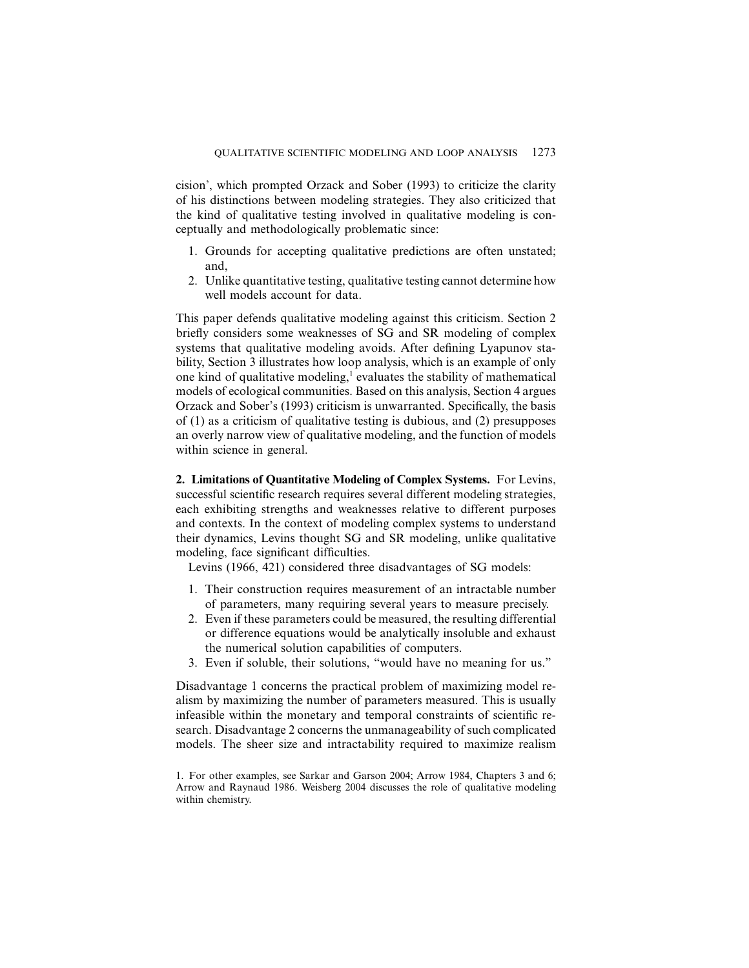cision', which prompted Orzack and Sober (1993) to criticize the clarity of his distinctions between modeling strategies. They also criticized that the kind of qualitative testing involved in qualitative modeling is conceptually and methodologically problematic since:

- 1. Grounds for accepting qualitative predictions are often unstated; and,
- 2. Unlike quantitative testing, qualitative testing cannot determine how well models account for data.

This paper defends qualitative modeling against this criticism. Section 2 briefly considers some weaknesses of SG and SR modeling of complex systems that qualitative modeling avoids. After defining Lyapunov stability, Section 3 illustrates how loop analysis, which is an example of only one kind of qualitative modeling,<sup>1</sup> evaluates the stability of mathematical models of ecological communities. Based on this analysis, Section 4 argues Orzack and Sober's (1993) criticism is unwarranted. Specifically, the basis of (1) as a criticism of qualitative testing is dubious, and (2) presupposes an overly narrow view of qualitative modeling, and the function of models within science in general.

**2. Limitations of Quantitative Modeling of Complex Systems.** For Levins, successful scientific research requires several different modeling strategies, each exhibiting strengths and weaknesses relative to different purposes and contexts. In the context of modeling complex systems to understand their dynamics, Levins thought SG and SR modeling, unlike qualitative modeling, face significant difficulties.

Levins (1966, 421) considered three disadvantages of SG models:

- 1. Their construction requires measurement of an intractable number of parameters, many requiring several years to measure precisely.
- 2. Even if these parameters could be measured, the resulting differential or difference equations would be analytically insoluble and exhaust the numerical solution capabilities of computers.
- 3. Even if soluble, their solutions, "would have no meaning for us."

Disadvantage 1 concerns the practical problem of maximizing model realism by maximizing the number of parameters measured. This is usually infeasible within the monetary and temporal constraints of scientific research. Disadvantage 2 concerns the unmanageability of such complicated models. The sheer size and intractability required to maximize realism

<sup>1.</sup> For other examples, see Sarkar and Garson 2004; Arrow 1984, Chapters 3 and 6; Arrow and Raynaud 1986. Weisberg 2004 discusses the role of qualitative modeling within chemistry.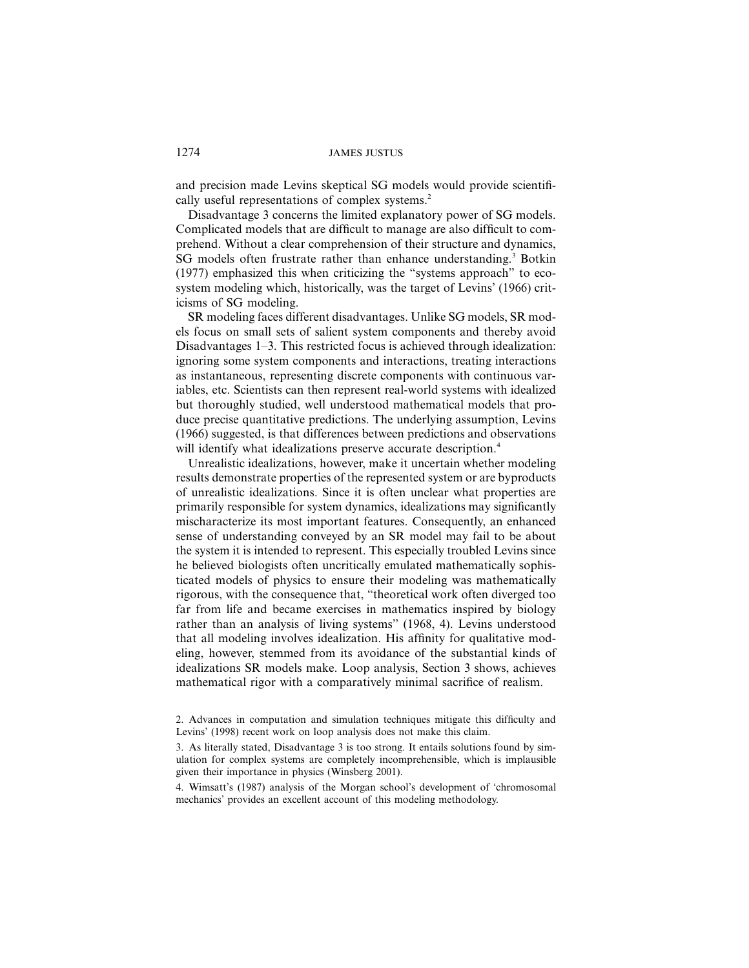and precision made Levins skeptical SG models would provide scientifically useful representations of complex systems.<sup>2</sup>

Disadvantage 3 concerns the limited explanatory power of SG models. Complicated models that are difficult to manage are also difficult to comprehend. Without a clear comprehension of their structure and dynamics, SG models often frustrate rather than enhance understanding.<sup>3</sup> Botkin (1977) emphasized this when criticizing the "systems approach" to ecosystem modeling which, historically, was the target of Levins' (1966) criticisms of SG modeling.

SR modeling faces different disadvantages. Unlike SG models, SR models focus on small sets of salient system components and thereby avoid Disadvantages 1–3. This restricted focus is achieved through idealization: ignoring some system components and interactions, treating interactions as instantaneous, representing discrete components with continuous variables, etc. Scientists can then represent real-world systems with idealized but thoroughly studied, well understood mathematical models that produce precise quantitative predictions. The underlying assumption, Levins (1966) suggested, is that differences between predictions and observations will identify what idealizations preserve accurate description.<sup>4</sup>

Unrealistic idealizations, however, make it uncertain whether modeling results demonstrate properties of the represented system or are byproducts of unrealistic idealizations. Since it is often unclear what properties are primarily responsible for system dynamics, idealizations may significantly mischaracterize its most important features. Consequently, an enhanced sense of understanding conveyed by an SR model may fail to be about the system it is intended to represent. This especially troubled Levins since he believed biologists often uncritically emulated mathematically sophisticated models of physics to ensure their modeling was mathematically rigorous, with the consequence that, "theoretical work often diverged too far from life and became exercises in mathematics inspired by biology rather than an analysis of living systems" (1968, 4). Levins understood that all modeling involves idealization. His affinity for qualitative modeling, however, stemmed from its avoidance of the substantial kinds of idealizations SR models make. Loop analysis, Section 3 shows, achieves mathematical rigor with a comparatively minimal sacrifice of realism.

4. Wimsatt's (1987) analysis of the Morgan school's development of 'chromosomal mechanics' provides an excellent account of this modeling methodology.

<sup>2.</sup> Advances in computation and simulation techniques mitigate this difficulty and Levins' (1998) recent work on loop analysis does not make this claim.

<sup>3.</sup> As literally stated, Disadvantage 3 is too strong. It entails solutions found by simulation for complex systems are completely incomprehensible, which is implausible given their importance in physics (Winsberg 2001).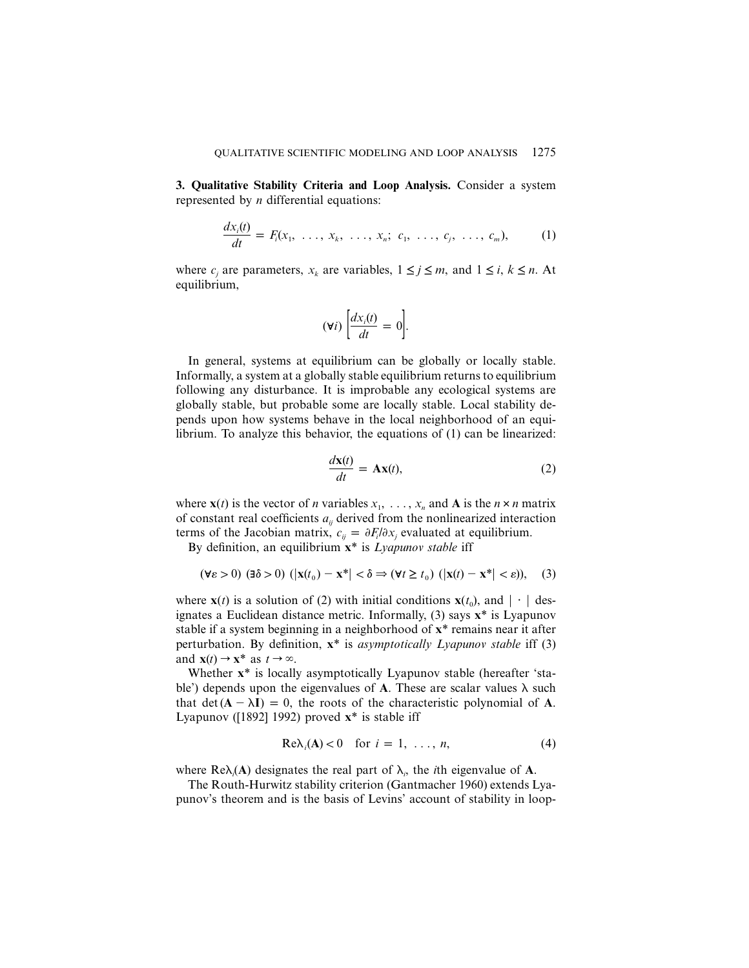**3. Qualitative Stability Criteria and Loop Analysis.** Consider a system represented by *n* differential equations:

$$
\frac{dx_i(t)}{dt} = F_i(x_1, \ldots, x_k, \ldots, x_n; c_1, \ldots, c_j, \ldots, c_m), \qquad (1)
$$

where  $c_i$  are parameters,  $x_k$  are variables,  $1 \leq j \leq m$ , and  $1 \leq i, k \leq n$ . At equilibrium,

$$
(\forall i)\ \bigg[\frac{dx_i(t)}{dt}=0\bigg].
$$

In general, systems at equilibrium can be globally or locally stable. Informally, a system at a globally stable equilibrium returns to equilibrium following any disturbance. It is improbable any ecological systems are globally stable, but probable some are locally stable. Local stability depends upon how systems behave in the local neighborhood of an equilibrium. To analyze this behavior, the equations of (1) can be linearized:

$$
\frac{d\mathbf{x}(t)}{dt} = \mathbf{A}\mathbf{x}(t),\tag{2}
$$

where  $\mathbf{x}(t)$  is the vector of *n* variables  $x_1, \ldots, x_n$  and **A** is the  $n \times n$  matrix of constant real coefficients  $a_{ii}$  derived from the nonlinearized interaction terms of the Jacobian matrix,  $c_{ij} = \partial F_i / \partial x_j$  evaluated at equilibrium.

By definition, an equilibrium **x**\* is *Lyapunov stable* iff

$$
(\forall \varepsilon > 0) \ (\exists \delta > 0) \ (|\mathbf{x}(t_0) - \mathbf{x}^*| < \delta \Rightarrow (\forall t \ge t_0) \ (|\mathbf{x}(t) - \mathbf{x}^*| < \varepsilon)), \quad (3)
$$

where **x**(*t*) is a solution of (2) with initial conditions **x**(*t*<sub>0</sub>), and  $\vert \cdot \vert$  designates a Euclidean distance metric. Informally, (3) says **x**\* is Lyapunov stable if a system beginning in a neighborhood of **x**\* remains near it after perturbation. By definition, **x**\* is *asymptotically Lyapunov stable* iff (3) and  $\mathbf{x}(t) \rightarrow \mathbf{x}^*$  as  $t \rightarrow \infty$ .

Whether **x**\* is locally asymptotically Lyapunov stable (hereafter 'stable') depends upon the eigenvalues of **A**. These are scalar values  $\lambda$  such that  $\det(A - \lambda I) = 0$ , the roots of the characteristic polynomial of A. Lyapunov ([1892] 1992) proved **x**\* is stable iff

$$
Re\lambda_i(A) < 0 \quad \text{for } i = 1, \ldots, n,\tag{4}
$$

where  $\text{Re}\lambda_i(\mathbf{A})$  designates the real part of  $\lambda_i$ , the *i*th eigenvalue of **A**.

The Routh-Hurwitz stability criterion (Gantmacher 1960) extends Lyapunov's theorem and is the basis of Levins' account of stability in loop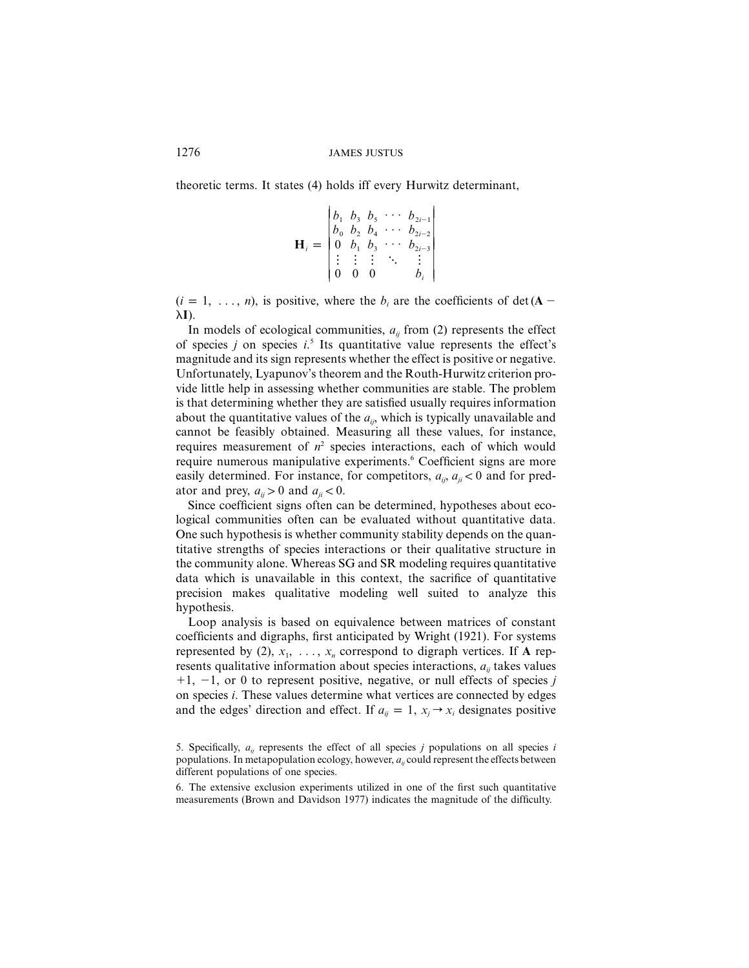theoretic terms. It states (4) holds iff every Hurwitz determinant,

$$
\mathbf{H}_{i} = \begin{bmatrix} b_{1} & b_{3} & b_{5} & \cdots & b_{2i-1} \\ b_{0} & b_{2} & b_{4} & \cdots & b_{2i-2} \\ 0 & b_{1} & b_{3} & \cdots & b_{2i-3} \\ \vdots & \vdots & \vdots & \ddots & \vdots \\ 0 & 0 & 0 & b_{i} \end{bmatrix}
$$

 $(i = 1, \ldots, n)$ , is positive, where the  $b_i$  are the coefficients of det (**A** –  $\lambda$ **I**).

In models of ecological communities,  $a_{ij}$  from (2) represents the effect of species *j* on species *i*. <sup>5</sup> Its quantitative value represents the effect's magnitude and its sign represents whether the effect is positive or negative. Unfortunately, Lyapunov's theorem and the Routh-Hurwitz criterion provide little help in assessing whether communities are stable. The problem is that determining whether they are satisfied usually requires information about the quantitative values of the  $a_{ij}$ , which is typically unavailable and cannot be feasibly obtained. Measuring all these values, for instance, requires measurement of  $n^2$  species interactions, each of which would require numerous manipulative experiments.<sup>6</sup> Coefficient signs are more easily determined. For instance, for competitors,  $a_{ij}$ ,  $a_{ji} < 0$  and for predator and prey,  $a_{ii} > 0$  and  $a_{ii} < 0$ .

Since coefficient signs often can be determined, hypotheses about ecological communities often can be evaluated without quantitative data. One such hypothesis is whether community stability depends on the quantitative strengths of species interactions or their qualitative structure in the community alone. Whereas SG and SR modeling requires quantitative data which is unavailable in this context, the sacrifice of quantitative precision makes qualitative modeling well suited to analyze this hypothesis.

Loop analysis is based on equivalence between matrices of constant coefficients and digraphs, first anticipated by Wright (1921). For systems represented by (2),  $x_1$ , ...,  $x_n$  correspond to digraph vertices. If **A** represents qualitative information about species interactions,  $a_{ii}$  takes values  $+1$ ,  $-1$ , or 0 to represent positive, negative, or null effects of species *j* on species *i*. These values determine what vertices are connected by edges and the edges' direction and effect. If  $a_{ij} = 1$ ,  $x_i \rightarrow x_i$  designates positive

<sup>5.</sup> Specifically,  $a_{ii}$  represents the effect of all species *j* populations on all species *i* populations. In metapopulation ecology, however,  $a_{ii}$  could represent the effects between different populations of one species.

<sup>6.</sup> The extensive exclusion experiments utilized in one of the first such quantitative measurements (Brown and Davidson 1977) indicates the magnitude of the difficulty.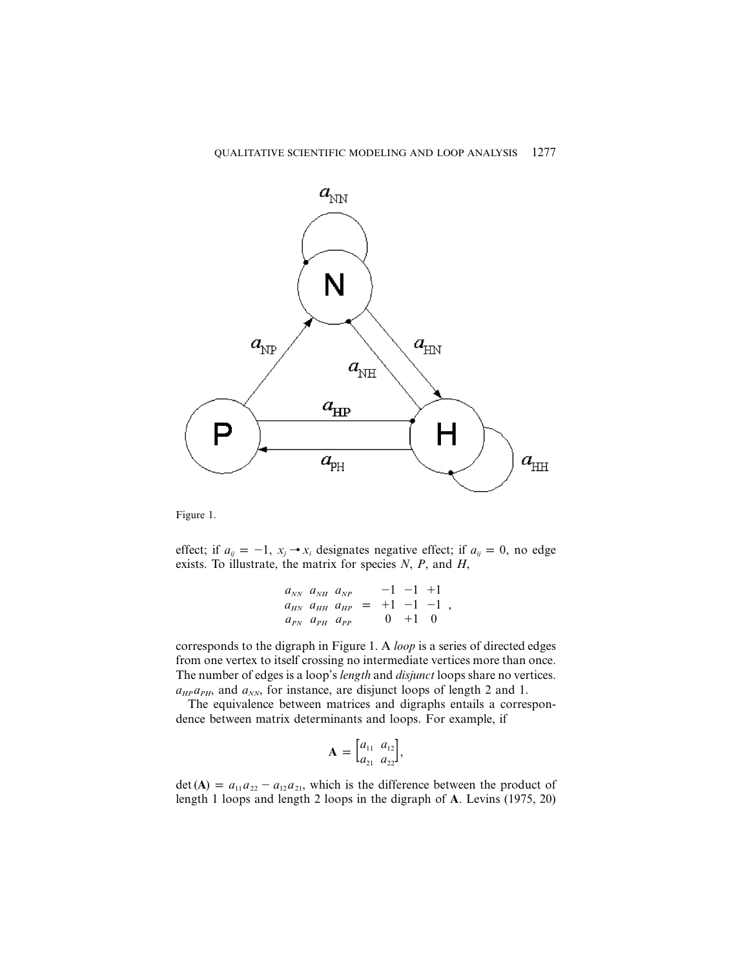

Figure 1.

effect; if  $a_{ij} = -1$ ,  $x_j \rightarrow x_i$  designates negative effect; if  $a_{ij} = 0$ , no edge exists. To illustrate, the matrix for species *N*, *P*, and *H*,

$$
\begin{bmatrix} a_{NN} & a_{NH} & a_{NP} \\ a_{HN} & a_{HH} & a_{HP} \\ a_{PN} & a_{PH} & a_{PP} \end{bmatrix} = \begin{bmatrix} -1 & -1 & +1 \\ +1 & -1 & -1 \\ 0 & +1 & 0 \end{bmatrix},
$$

corresponds to the digraph in Figure 1. A *loop* is a series of directed edges from one vertex to itself crossing no intermediate vertices more than once. The number of edges is a loop's *length* and *disjunct* loops share no vertices.  $a_{HP}a_{PH}$ , and  $a_{NN}$ , for instance, are disjunct loops of length 2 and 1.

The equivalence between matrices and digraphs entails a correspondence between matrix determinants and loops. For example, if

$$
\mathbf{A} = \begin{bmatrix} a_{11} & a_{12} \\ a_{21} & a_{22} \end{bmatrix},
$$

 $\det(A) = a_{11}a_{22} - a_{12}a_{21}$ , which is the difference between the product of length 1 loops and length 2 loops in the digraph of **A**. Levins (1975, 20)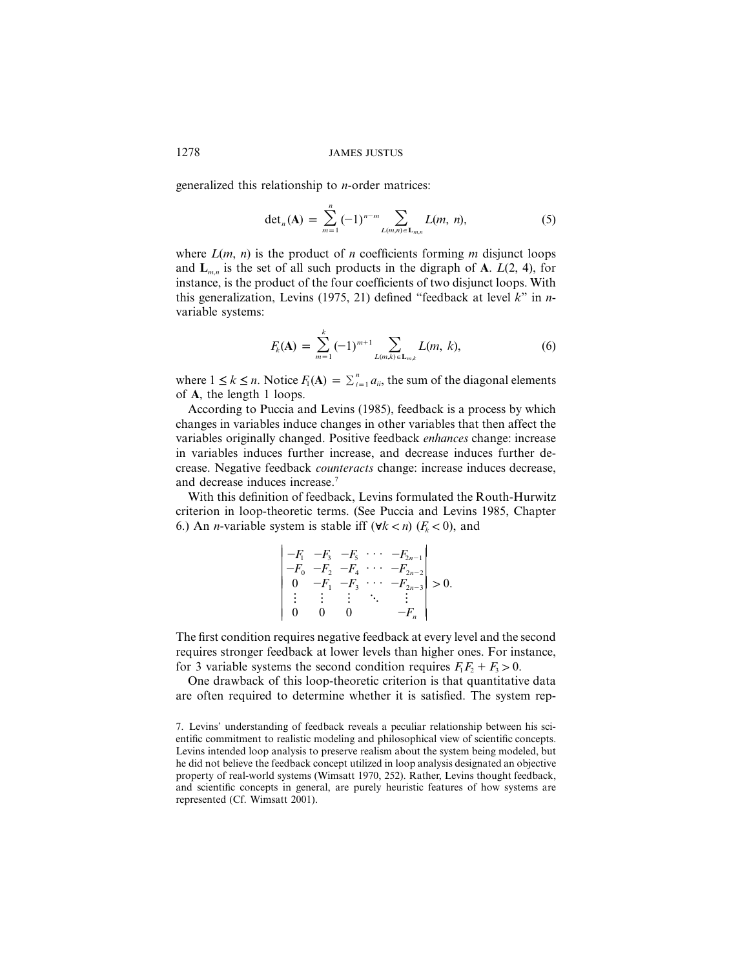generalized this relationship to *n*-order matrices:

$$
\det_n(\mathbf{A}) = \sum_{m=1}^n (-1)^{n-m} \sum_{L(m,n) \in \mathbf{L}_{m,n}} L(m,n), \tag{5}
$$

where  $L(m, n)$  is the product of *n* coefficients forming *m* disjunct loops and  $\mathbf{L}_{m,n}$  is the set of all such products in the digraph of **A**.  $L(2, 4)$ , for instance, is the product of the four coefficients of two disjunct loops. With this generalization, Levins (1975, 21) defined "feedback at level *k*" in *n*variable systems:

$$
F_k(\mathbf{A}) = \sum_{m=1}^k (-1)^{m+1} \sum_{L(m,k) \in \mathbf{L}_{m,k}} L(m, k), \tag{6}
$$

where  $1 \le k \le n$ . Notice  $F_1(\mathbf{A}) = \sum_{i=1}^n a_{ii}$ , the sum of the diagonal elements of **A**, the length 1 loops.

According to Puccia and Levins (1985), feedback is a process by which changes in variables induce changes in other variables that then affect the variables originally changed. Positive feedback *enhances* change: increase in variables induces further increase, and decrease induces further decrease. Negative feedback *counteracts* change: increase induces decrease, and decrease induces increase.7

With this definition of feedback, Levins formulated the Routh-Hurwitz criterion in loop-theoretic terms. (See Puccia and Levins 1985, Chapter 6.) An *n*-variable system is stable iff  $(\forall k < n)$  ( $F_k < 0$ ), and

$$
\begin{vmatrix} -F_1 & -F_3 & -F_5 & \cdots & -F_{2n-1} \\ -F_0 & -F_2 & -F_4 & \cdots & -F_{2n-2} \\ 0 & -F_1 & -F_3 & \cdots & -F_{2n-3} \\ \vdots & \vdots & \vdots & \ddots & \vdots \\ 0 & 0 & 0 & -F_n \end{vmatrix} > 0.
$$

The first condition requires negative feedback at every level and the second requires stronger feedback at lower levels than higher ones. For instance, for 3 variable systems the second condition requires  $F_1F_2 + F_3 > 0$ .

One drawback of this loop-theoretic criterion is that quantitative data are often required to determine whether it is satisfied. The system rep-

<sup>7.</sup> Levins' understanding of feedback reveals a peculiar relationship between his scientific commitment to realistic modeling and philosophical view of scientific concepts. Levins intended loop analysis to preserve realism about the system being modeled, but he did not believe the feedback concept utilized in loop analysis designated an objective property of real-world systems (Wimsatt 1970, 252). Rather, Levins thought feedback, and scientific concepts in general, are purely heuristic features of how systems are represented (Cf. Wimsatt 2001).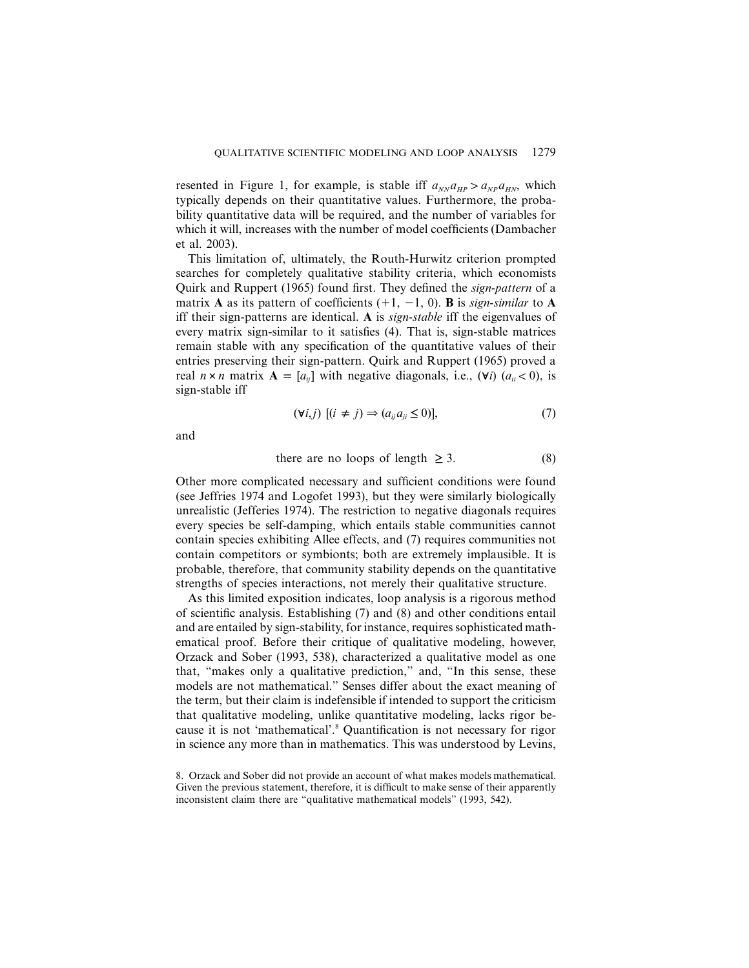resented in Figure 1, for example, is stable iff  $a_{NN}a_{HP} > a_{NP}a_{HN}$ , which typically depends on their quantitative values. Furthermore, the probability quantitative data will be required, and the number of variables for which it will, increases with the number of model coefficients (Dambacher et al. 2003).

This limitation of, ultimately, the Routh-Hurwitz criterion prompted searches for completely qualitative stability criteria, which economists Quirk and Ruppert (1965) found first. They defined the *sign*-*pattern* of a matrix **A** as its pattern of coefficients  $(+1, -1, 0)$ . **B** is *sign-similar* to **A** iff their sign-patterns are identical. **A** is *sign*-*stable* iff the eigenvalues of every matrix sign-similar to it satisfies (4). That is, sign-stable matrices remain stable with any specification of the quantitative values of their entries preserving their sign-pattern. Quirk and Ruppert (1965) proved a real  $n \times n$  matrix  $A = [a_{ij}]$  with negative diagonals, i.e., ( $\forall i$ ) ( $a_{ij} < 0$ ), is sign-stable iff

$$
(\forall i,j) \; [(i \neq j) \Rightarrow (a_{ij}a_{ji} \leq 0)], \tag{7}
$$

and

there are no loops of length 
$$
\geq 3
$$
. (8)

Other more complicated necessary and sufficient conditions were found (see Jeffries 1974 and Logofet 1993), but they were similarly biologically unrealistic (Jefferies 1974). The restriction to negative diagonals requires every species be self-damping, which entails stable communities cannot contain species exhibiting Allee effects, and (7) requires communities not contain competitors or symbionts; both are extremely implausible. It is probable, therefore, that community stability depends on the quantitative strengths of species interactions, not merely their qualitative structure.

As this limited exposition indicates, loop analysis is a rigorous method of scientific analysis. Establishing (7) and (8) and other conditions entail and are entailed by sign-stability, for instance, requires sophisticated mathematical proof. Before their critique of qualitative modeling, however, Orzack and Sober (1993, 538), characterized a qualitative model as one that, "makes only a qualitative prediction," and, "In this sense, these models are not mathematical." Senses differ about the exact meaning of the term, but their claim is indefensible if intended to support the criticism that qualitative modeling, unlike quantitative modeling, lacks rigor because it is not 'mathematical'.8 Quantification is not necessary for rigor in science any more than in mathematics. This was understood by Levins,

8. Orzack and Sober did not provide an account of what makes models mathematical. Given the previous statement, therefore, it is difficult to make sense of their apparently inconsistent claim there are "qualitative mathematical models" (1993, 542).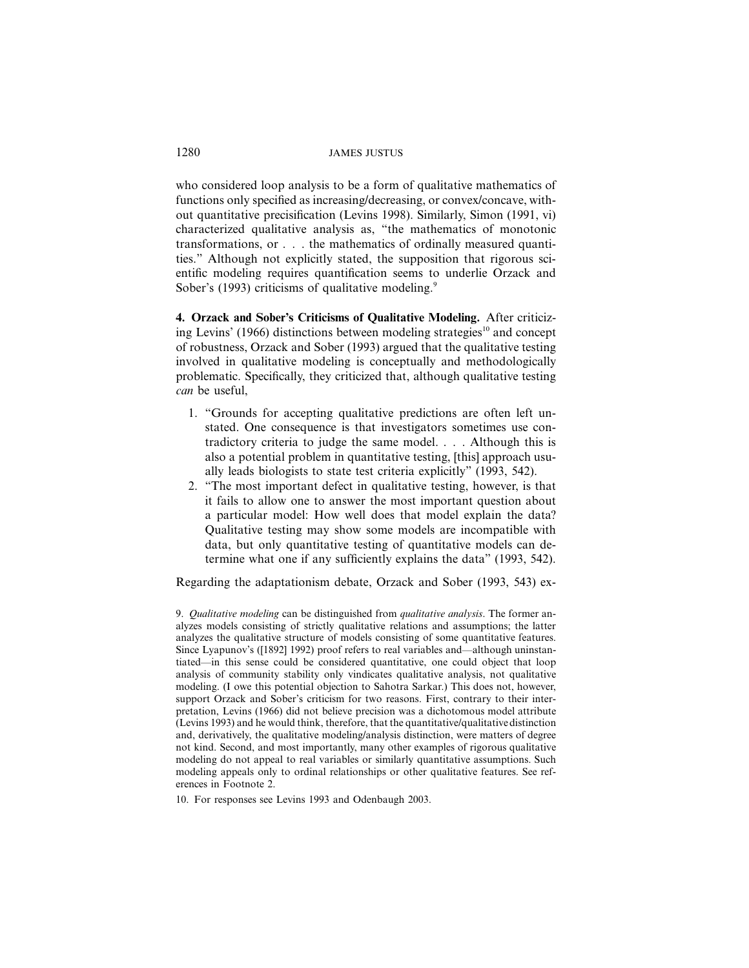who considered loop analysis to be a form of qualitative mathematics of functions only specified as increasing/decreasing, or convex/concave, without quantitative precisification (Levins 1998). Similarly, Simon (1991, vi) characterized qualitative analysis as, "the mathematics of monotonic transformations, or . . . the mathematics of ordinally measured quantities." Although not explicitly stated, the supposition that rigorous scientific modeling requires quantification seems to underlie Orzack and Sober's (1993) criticisms of qualitative modeling.<sup>9</sup>

**4. Orzack and Sober's Criticisms of Qualitative Modeling.** After criticizing Levins' (1966) distinctions between modeling strategies<sup>10</sup> and concept of robustness, Orzack and Sober (1993) argued that the qualitative testing involved in qualitative modeling is conceptually and methodologically problematic. Specifically, they criticized that, although qualitative testing *can* be useful,

- 1. "Grounds for accepting qualitative predictions are often left unstated. One consequence is that investigators sometimes use contradictory criteria to judge the same model. . . . Although this is also a potential problem in quantitative testing, [this] approach usually leads biologists to state test criteria explicitly" (1993, 542).
- 2. "The most important defect in qualitative testing, however, is that it fails to allow one to answer the most important question about a particular model: How well does that model explain the data? Qualitative testing may show some models are incompatible with data, but only quantitative testing of quantitative models can determine what one if any sufficiently explains the data" (1993, 542).

Regarding the adaptationism debate, Orzack and Sober (1993, 543) ex-

10. For responses see Levins 1993 and Odenbaugh 2003.

<sup>9.</sup> *Qualitative modeling* can be distinguished from *qualitative analysis*. The former analyzes models consisting of strictly qualitative relations and assumptions; the latter analyzes the qualitative structure of models consisting of some quantitative features. Since Lyapunov's ([1892] 1992) proof refers to real variables and—although uninstantiated—in this sense could be considered quantitative, one could object that loop analysis of community stability only vindicates qualitative analysis, not qualitative modeling. (I owe this potential objection to Sahotra Sarkar.) This does not, however, support Orzack and Sober's criticism for two reasons. First, contrary to their interpretation, Levins (1966) did not believe precision was a dichotomous model attribute  $(Levins 1993)$  and he would think, therefore, that the quantitative/qualitative distinction and, derivatively, the qualitative modeling/analysis distinction, were matters of degree not kind. Second, and most importantly, many other examples of rigorous qualitative modeling do not appeal to real variables or similarly quantitative assumptions. Such modeling appeals only to ordinal relationships or other qualitative features. See references in Footnote 2.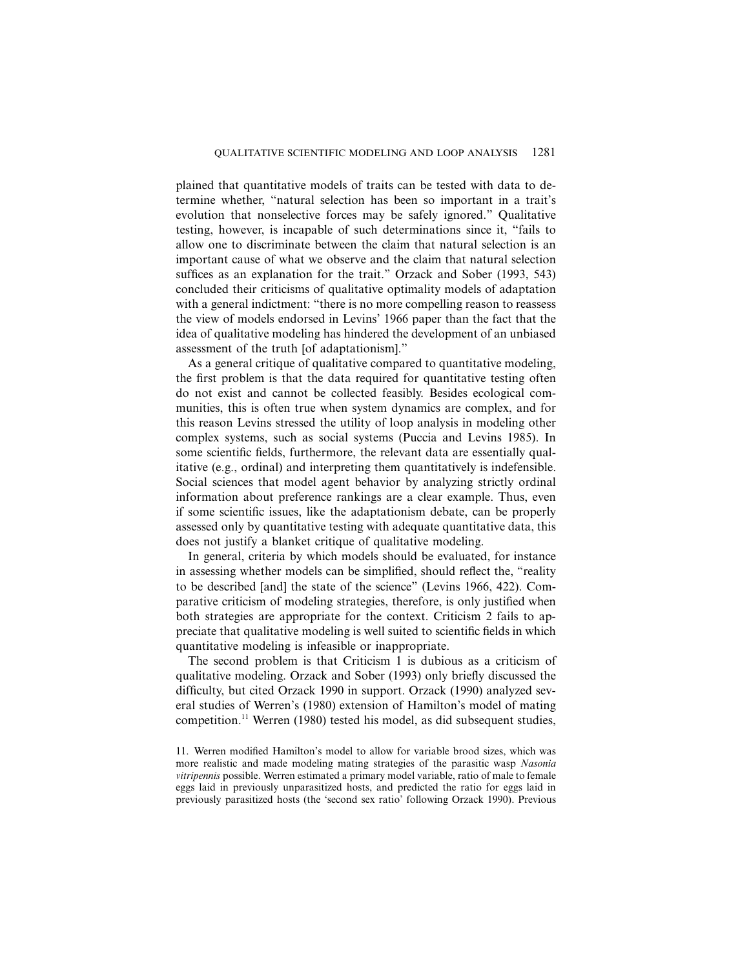plained that quantitative models of traits can be tested with data to determine whether, "natural selection has been so important in a trait's evolution that nonselective forces may be safely ignored." Qualitative testing, however, is incapable of such determinations since it, "fails to allow one to discriminate between the claim that natural selection is an important cause of what we observe and the claim that natural selection suffices as an explanation for the trait." Orzack and Sober (1993, 543) concluded their criticisms of qualitative optimality models of adaptation with a general indictment: "there is no more compelling reason to reassess the view of models endorsed in Levins' 1966 paper than the fact that the idea of qualitative modeling has hindered the development of an unbiased assessment of the truth [of adaptationism]."

As a general critique of qualitative compared to quantitative modeling, the first problem is that the data required for quantitative testing often do not exist and cannot be collected feasibly. Besides ecological communities, this is often true when system dynamics are complex, and for this reason Levins stressed the utility of loop analysis in modeling other complex systems, such as social systems (Puccia and Levins 1985). In some scientific fields, furthermore, the relevant data are essentially qualitative (e.g., ordinal) and interpreting them quantitatively is indefensible. Social sciences that model agent behavior by analyzing strictly ordinal information about preference rankings are a clear example. Thus, even if some scientific issues, like the adaptationism debate, can be properly assessed only by quantitative testing with adequate quantitative data, this does not justify a blanket critique of qualitative modeling.

In general, criteria by which models should be evaluated, for instance in assessing whether models can be simplified, should reflect the, "reality to be described [and] the state of the science" (Levins 1966, 422). Comparative criticism of modeling strategies, therefore, is only justified when both strategies are appropriate for the context. Criticism 2 fails to appreciate that qualitative modeling is well suited to scientific fields in which quantitative modeling is infeasible or inappropriate.

The second problem is that Criticism 1 is dubious as a criticism of qualitative modeling. Orzack and Sober (1993) only briefly discussed the difficulty, but cited Orzack 1990 in support. Orzack (1990) analyzed several studies of Werren's (1980) extension of Hamilton's model of mating competition.<sup>11</sup> Werren (1980) tested his model, as did subsequent studies,

<sup>11.</sup> Werren modified Hamilton's model to allow for variable brood sizes, which was more realistic and made modeling mating strategies of the parasitic wasp *Nasonia vitripennis* possible. Werren estimated a primary model variable, ratio of male to female eggs laid in previously unparasitized hosts, and predicted the ratio for eggs laid in previously parasitized hosts (the 'second sex ratio' following Orzack 1990). Previous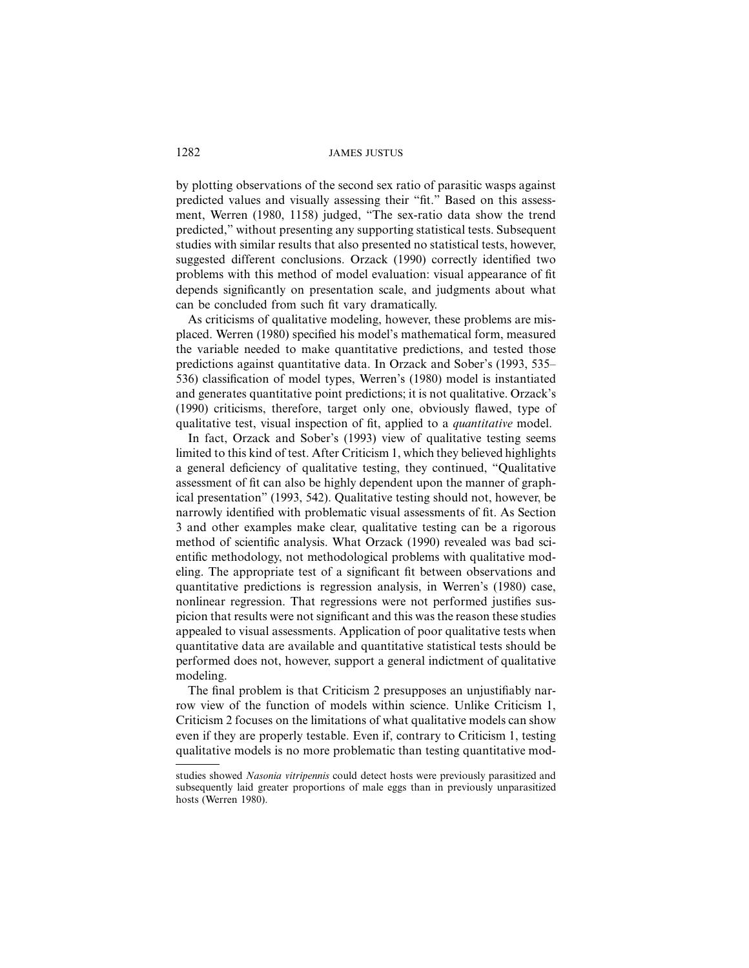by plotting observations of the second sex ratio of parasitic wasps against predicted values and visually assessing their "fit." Based on this assessment, Werren (1980, 1158) judged, "The sex-ratio data show the trend predicted," without presenting any supporting statistical tests. Subsequent studies with similar results that also presented no statistical tests, however, suggested different conclusions. Orzack (1990) correctly identified two problems with this method of model evaluation: visual appearance of fit depends significantly on presentation scale, and judgments about what can be concluded from such fit vary dramatically.

As criticisms of qualitative modeling, however, these problems are misplaced. Werren (1980) specified his model's mathematical form, measured the variable needed to make quantitative predictions, and tested those predictions against quantitative data. In Orzack and Sober's (1993, 535– 536) classification of model types, Werren's (1980) model is instantiated and generates quantitative point predictions; it is not qualitative. Orzack's (1990) criticisms, therefore, target only one, obviously flawed, type of qualitative test, visual inspection of fit, applied to a *quantitative* model.

In fact, Orzack and Sober's (1993) view of qualitative testing seems limited to this kind of test. After Criticism 1, which they believed highlights a general deficiency of qualitative testing, they continued, "Qualitative assessment of fit can also be highly dependent upon the manner of graphical presentation" (1993, 542). Qualitative testing should not, however, be narrowly identified with problematic visual assessments of fit. As Section 3 and other examples make clear, qualitative testing can be a rigorous method of scientific analysis. What Orzack (1990) revealed was bad scientific methodology, not methodological problems with qualitative modeling. The appropriate test of a significant fit between observations and quantitative predictions is regression analysis, in Werren's (1980) case, nonlinear regression. That regressions were not performed justifies suspicion that results were not significant and this was the reason these studies appealed to visual assessments. Application of poor qualitative tests when quantitative data are available and quantitative statistical tests should be performed does not, however, support a general indictment of qualitative modeling.

The final problem is that Criticism 2 presupposes an unjustifiably narrow view of the function of models within science. Unlike Criticism 1, Criticism 2 focuses on the limitations of what qualitative models can show even if they are properly testable. Even if, contrary to Criticism 1, testing qualitative models is no more problematic than testing quantitative mod-

studies showed *Nasonia vitripennis* could detect hosts were previously parasitized and subsequently laid greater proportions of male eggs than in previously unparasitized hosts (Werren 1980).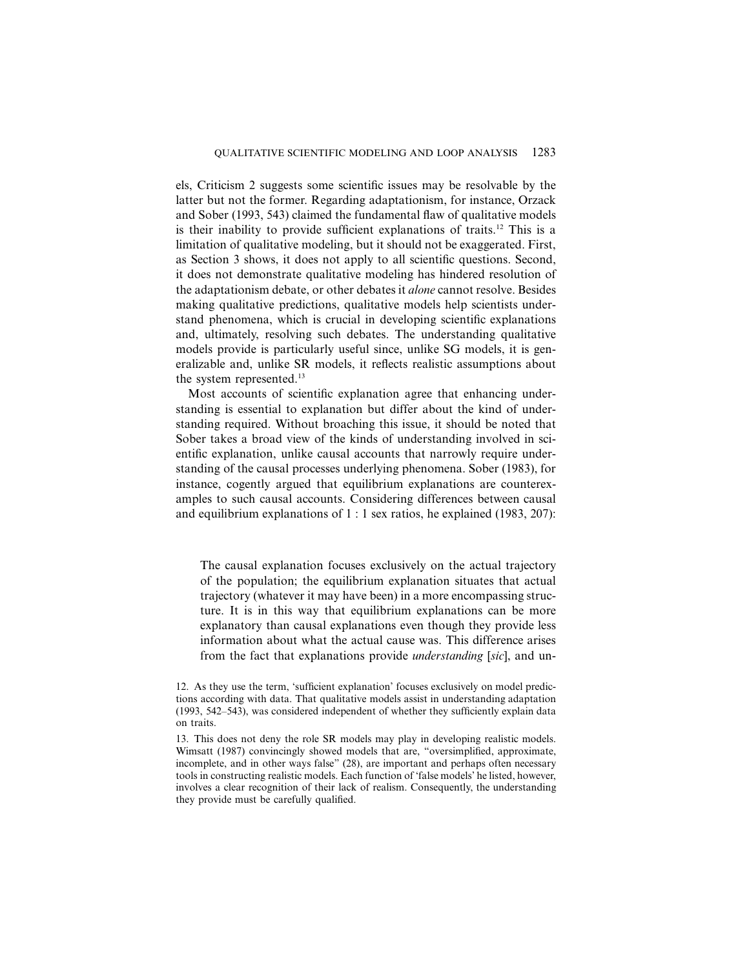els, Criticism 2 suggests some scientific issues may be resolvable by the latter but not the former. Regarding adaptationism, for instance, Orzack and Sober (1993, 543) claimed the fundamental flaw of qualitative models is their inability to provide sufficient explanations of traits.<sup>12</sup> This is a limitation of qualitative modeling, but it should not be exaggerated. First, as Section 3 shows, it does not apply to all scientific questions. Second, it does not demonstrate qualitative modeling has hindered resolution of the adaptationism debate, or other debates it *alone* cannot resolve. Besides making qualitative predictions, qualitative models help scientists understand phenomena, which is crucial in developing scientific explanations and, ultimately, resolving such debates. The understanding qualitative models provide is particularly useful since, unlike SG models, it is generalizable and, unlike SR models, it reflects realistic assumptions about the system represented.<sup>13</sup>

Most accounts of scientific explanation agree that enhancing understanding is essential to explanation but differ about the kind of understanding required. Without broaching this issue, it should be noted that Sober takes a broad view of the kinds of understanding involved in scientific explanation, unlike causal accounts that narrowly require understanding of the causal processes underlying phenomena. Sober (1983), for instance, cogently argued that equilibrium explanations are counterexamples to such causal accounts. Considering differences between causal and equilibrium explanations of 1 : 1 sex ratios, he explained (1983, 207):

The causal explanation focuses exclusively on the actual trajectory of the population; the equilibrium explanation situates that actual trajectory (whatever it may have been) in a more encompassing structure. It is in this way that equilibrium explanations can be more explanatory than causal explanations even though they provide less information about what the actual cause was. This difference arises from the fact that explanations provide *understanding* [*sic*], and un-

<sup>12.</sup> As they use the term, 'sufficient explanation' focuses exclusively on model predictions according with data. That qualitative models assist in understanding adaptation (1993, 542–543), was considered independent of whether they sufficiently explain data on traits.

<sup>13.</sup> This does not deny the role SR models may play in developing realistic models. Wimsatt (1987) convincingly showed models that are, "oversimplified, approximate, incomplete, and in other ways false" (28), are important and perhaps often necessary tools in constructing realistic models. Each function of 'false models' he listed, however, involves a clear recognition of their lack of realism. Consequently, the understanding they provide must be carefully qualified.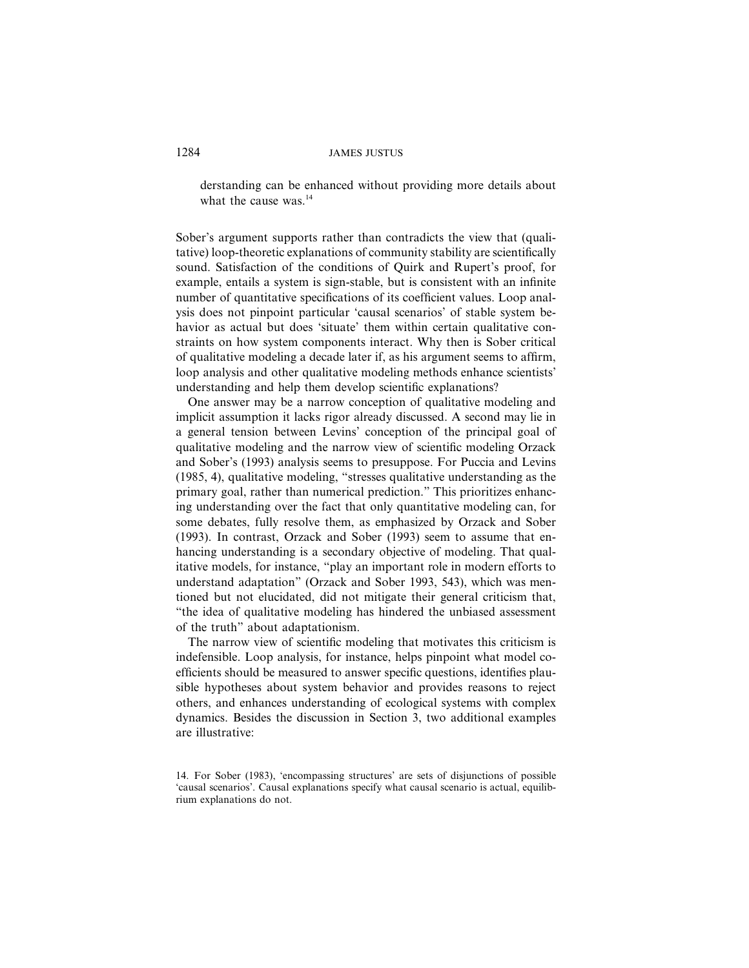derstanding can be enhanced without providing more details about what the cause was.<sup>14</sup>

Sober's argument supports rather than contradicts the view that (qualitative) loop-theoretic explanations of community stability are scientifically sound. Satisfaction of the conditions of Quirk and Rupert's proof, for example, entails a system is sign-stable, but is consistent with an infinite number of quantitative specifications of its coefficient values. Loop analysis does not pinpoint particular 'causal scenarios' of stable system behavior as actual but does 'situate' them within certain qualitative constraints on how system components interact. Why then is Sober critical of qualitative modeling a decade later if, as his argument seems to affirm, loop analysis and other qualitative modeling methods enhance scientists' understanding and help them develop scientific explanations?

One answer may be a narrow conception of qualitative modeling and implicit assumption it lacks rigor already discussed. A second may lie in a general tension between Levins' conception of the principal goal of qualitative modeling and the narrow view of scientific modeling Orzack and Sober's (1993) analysis seems to presuppose. For Puccia and Levins (1985, 4), qualitative modeling, "stresses qualitative understanding as the primary goal, rather than numerical prediction." This prioritizes enhancing understanding over the fact that only quantitative modeling can, for some debates, fully resolve them, as emphasized by Orzack and Sober (1993). In contrast, Orzack and Sober (1993) seem to assume that enhancing understanding is a secondary objective of modeling. That qualitative models, for instance, "play an important role in modern efforts to understand adaptation" (Orzack and Sober 1993, 543), which was mentioned but not elucidated, did not mitigate their general criticism that, "the idea of qualitative modeling has hindered the unbiased assessment of the truth" about adaptationism.

The narrow view of scientific modeling that motivates this criticism is indefensible. Loop analysis, for instance, helps pinpoint what model coefficients should be measured to answer specific questions, identifies plausible hypotheses about system behavior and provides reasons to reject others, and enhances understanding of ecological systems with complex dynamics. Besides the discussion in Section 3, two additional examples are illustrative:

<sup>14.</sup> For Sober (1983), 'encompassing structures' are sets of disjunctions of possible 'causal scenarios'. Causal explanations specify what causal scenario is actual, equilibrium explanations do not.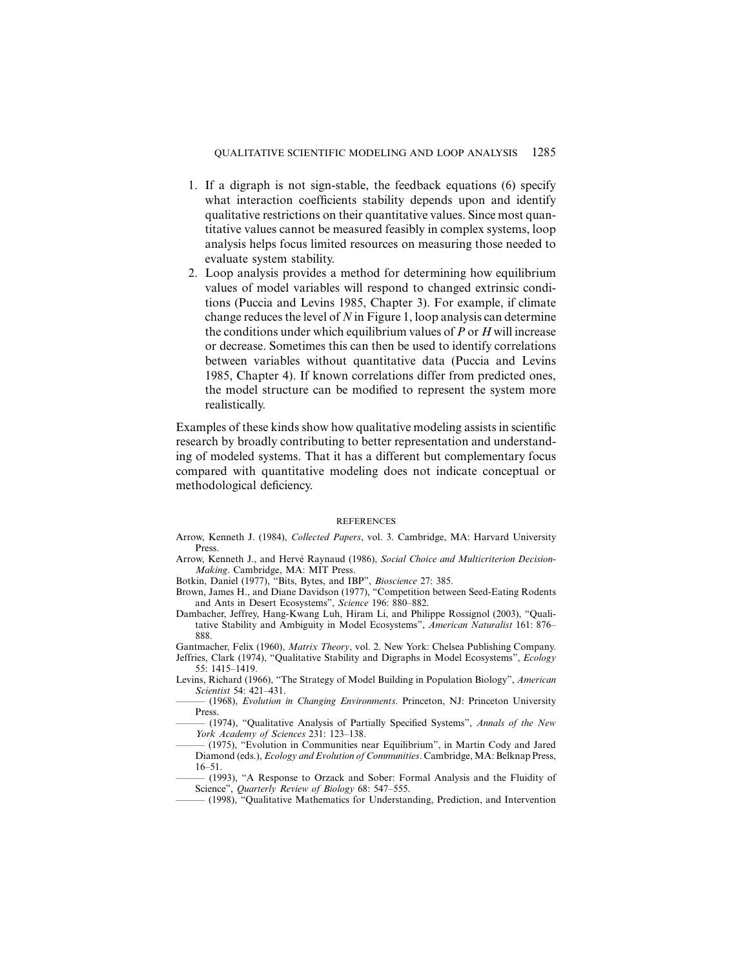- 1. If a digraph is not sign-stable, the feedback equations (6) specify what interaction coefficients stability depends upon and identify qualitative restrictions on their quantitative values. Since most quantitative values cannot be measured feasibly in complex systems, loop analysis helps focus limited resources on measuring those needed to evaluate system stability.
- 2. Loop analysis provides a method for determining how equilibrium values of model variables will respond to changed extrinsic conditions (Puccia and Levins 1985, Chapter 3). For example, if climate change reduces the level of *N* in Figure 1, loop analysis can determine the conditions under which equilibrium values of *P* or *H* will increase or decrease. Sometimes this can then be used to identify correlations between variables without quantitative data (Puccia and Levins 1985, Chapter 4). If known correlations differ from predicted ones, the model structure can be modified to represent the system more realistically.

Examples of these kinds show how qualitative modeling assists in scientific research by broadly contributing to better representation and understanding of modeled systems. That it has a different but complementary focus compared with quantitative modeling does not indicate conceptual or methodological deficiency.

#### REFERENCES

- Arrow, Kenneth J. (1984), *Collected Papers*, vol. 3. Cambridge, MA: Harvard University Press.
- Arrow, Kenneth J., and Hervé Raynaud (1986), *Social Choice and Multicriterion Decision*-*Making*. Cambridge, MA: MIT Press.
- Botkin, Daniel (1977), "Bits, Bytes, and IBP", *Bioscience* 27: 385.
- Brown, James H., and Diane Davidson (1977), "Competition between Seed-Eating Rodents and Ants in Desert Ecosystems", *Science* 196: 880–882.
- Dambacher, Jeffrey, Hang-Kwang Luh, Hiram Li, and Philippe Rossignol (2003), "Qualitative Stability and Ambiguity in Model Ecosystems", *American Naturalist* 161: 876– 888.
- Gantmacher, Felix (1960), *Matrix Theory*, vol. 2. New York: Chelsea Publishing Company. Jeffries, Clark (1974), "Qualitative Stability and Digraphs in Model Ecosystems", *Ecology* 55: 1415–1419.
- Levins, Richard (1966), "The Strategy of Model Building in Population Biology", *American Scientist* 54: 421–431.
- ——— (1968), *Evolution in Changing Environments*. Princeton, NJ: Princeton University Press.
- ——— (1974), "Qualitative Analysis of Partially Specified Systems", *Annals of the New York Academy of Sciences* 231: 123–138.
- ——— (1975), "Evolution in Communities near Equilibrium", in Martin Cody and Jared Diamond (eds.), *Ecology and Evolution of Communities*. Cambridge, MA: Belknap Press, 16–51.
- (1993), "A Response to Orzack and Sober: Formal Analysis and the Fluidity of Science", *Quarterly Review of Biology* 68: 547–555.
	- ——— (1998), "Qualitative Mathematics for Understanding, Prediction, and Intervention